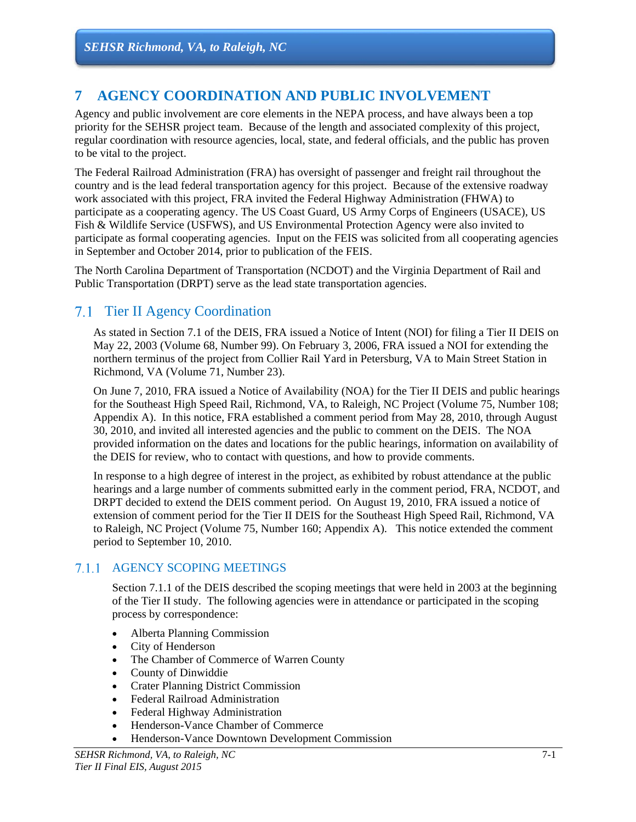# **7 AGENCY COORDINATION AND PUBLIC INVOLVEMENT**

Agency and public involvement are core elements in the NEPA process, and have always been a top priority for the SEHSR project team. Because of the length and associated complexity of this project, regular coordination with resource agencies, local, state, and federal officials, and the public has proven to be vital to the project.

The Federal Railroad Administration (FRA) has oversight of passenger and freight rail throughout the country and is the lead federal transportation agency for this project. Because of the extensive roadway work associated with this project, FRA invited the Federal Highway Administration (FHWA) to participate as a cooperating agency. The US Coast Guard, US Army Corps of Engineers (USACE), US Fish & Wildlife Service (USFWS), and US Environmental Protection Agency were also invited to participate as formal cooperating agencies. Input on the FEIS was solicited from all cooperating agencies in September and October 2014, prior to publication of the FEIS.

The North Carolina Department of Transportation (NCDOT) and the Virginia Department of Rail and Public Transportation (DRPT) serve as the lead state transportation agencies.

# 7.1 Tier II Agency Coordination

As stated in Section 7.1 of the DEIS, FRA issued a Notice of Intent (NOI) for filing a Tier II DEIS on May 22, 2003 (Volume 68, Number 99). On February 3, 2006, FRA issued a NOI for extending the northern terminus of the project from Collier Rail Yard in Petersburg, VA to Main Street Station in Richmond, VA (Volume 71, Number 23).

On June 7, 2010, FRA issued a Notice of Availability (NOA) for the Tier II DEIS and public hearings for the Southeast High Speed Rail, Richmond, VA, to Raleigh, NC Project (Volume 75, Number 108; Appendix A). In this notice, FRA established a comment period from May 28, 2010, through August 30, 2010, and invited all interested agencies and the public to comment on the DEIS. The NOA provided information on the dates and locations for the public hearings, information on availability of the DEIS for review, who to contact with questions, and how to provide comments.

In response to a high degree of interest in the project, as exhibited by robust attendance at the public hearings and a large number of comments submitted early in the comment period, FRA, NCDOT, and DRPT decided to extend the DEIS comment period. On August 19, 2010, FRA issued a notice of extension of comment period for the Tier II DEIS for the Southeast High Speed Rail, Richmond, VA to Raleigh, NC Project (Volume 75, Number 160; Appendix A). This notice extended the comment period to September 10, 2010.

### 7.1.1 AGENCY SCOPING MEETINGS

Section 7.1.1 of the DEIS described the scoping meetings that were held in 2003 at the beginning of the Tier II study. The following agencies were in attendance or participated in the scoping process by correspondence:

- Alberta Planning Commission
- City of Henderson
- The Chamber of Commerce of Warren County
- County of Dinwiddie
- Crater Planning District Commission
- Federal Railroad Administration
- Federal Highway Administration
- Henderson-Vance Chamber of Commerce
- Henderson-Vance Downtown Development Commission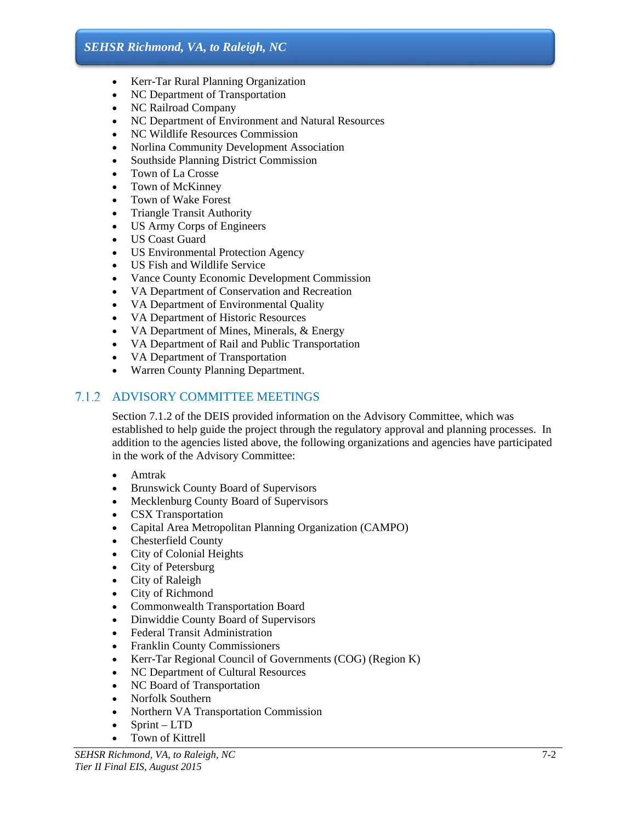- Kerr-Tar Rural Planning Organization
- NC Department of Transportation
- NC Railroad Company
- NC Department of Environment and Natural Resources
- NC Wildlife Resources Commission
- Norlina Community Development Association
- Southside Planning District Commission
- Town of La Crosse
- Town of McKinney
- Town of Wake Forest
- Triangle Transit Authority
- US Army Corps of Engineers
- US Coast Guard
- US Environmental Protection Agency
- US Fish and Wildlife Service
- Vance County Economic Development Commission
- VA Department of Conservation and Recreation
- VA Department of Environmental Quality
- VA Department of Historic Resources
- VA Department of Mines, Minerals, & Energy
- VA Department of Rail and Public Transportation
- VA Department of Transportation
- Warren County Planning Department.

### ADVISORY COMMITTEE MEETINGS

Section 7.1.2 of the DEIS provided information on the Advisory Committee, which was established to help guide the project through the regulatory approval and planning processes. In addition to the agencies listed above, the following organizations and agencies have participated in the work of the Advisory Committee:

- Amtrak
- Brunswick County Board of Supervisors
- Mecklenburg County Board of Supervisors
- CSX Transportation
- Capital Area Metropolitan Planning Organization (CAMPO)
- Chesterfield County
- City of Colonial Heights
- City of Petersburg
- City of Raleigh
- City of Richmond
- Commonwealth Transportation Board
- Dinwiddie County Board of Supervisors
- Federal Transit Administration
- Franklin County Commissioners
- Kerr-Tar Regional Council of Governments (COG) (Region K)
- NC Department of Cultural Resources
- NC Board of Transportation
- Norfolk Southern
- Northern VA Transportation Commission
- $\bullet$  Sprint LTD
- Town of Kittrell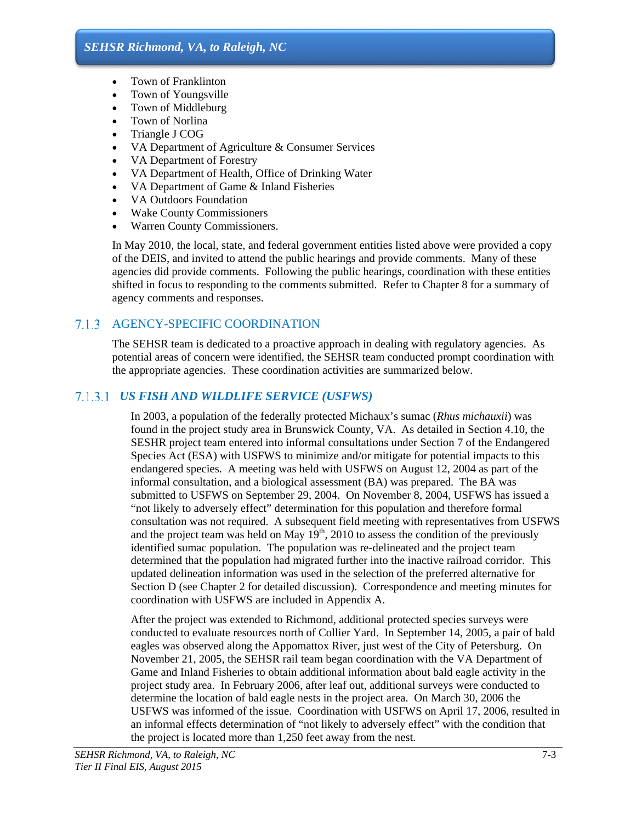- Town of Franklinton
- Town of Youngsville
- Town of Middleburg
- Town of Norlina
- Triangle J COG
- VA Department of Agriculture & Consumer Services
- VA Department of Forestry
- VA Department of Health, Office of Drinking Water
- VA Department of Game & Inland Fisheries
- VA Outdoors Foundation
- Wake County Commissioners
- Warren County Commissioners.

In May 2010, the local, state, and federal government entities listed above were provided a copy of the DEIS, and invited to attend the public hearings and provide comments. Many of these agencies did provide comments. Following the public hearings, coordination with these entities shifted in focus to responding to the comments submitted. Refer to Chapter 8 for a summary of agency comments and responses.

### 7.1.3 AGENCY-SPECIFIC COORDINATION

The SEHSR team is dedicated to a proactive approach in dealing with regulatory agencies. As potential areas of concern were identified, the SEHSR team conducted prompt coordination with the appropriate agencies. These coordination activities are summarized below.

### *US FISH AND WILDLIFE SERVICE (USFWS)*

In 2003, a population of the federally protected Michaux's sumac (*Rhus michauxii*) was found in the project study area in Brunswick County, VA. As detailed in Section 4.10, the SESHR project team entered into informal consultations under Section 7 of the Endangered Species Act (ESA) with USFWS to minimize and/or mitigate for potential impacts to this endangered species. A meeting was held with USFWS on August 12, 2004 as part of the informal consultation, and a biological assessment (BA) was prepared. The BA was submitted to USFWS on September 29, 2004. On November 8, 2004, USFWS has issued a "not likely to adversely effect" determination for this population and therefore formal consultation was not required. A subsequent field meeting with representatives from USFWS and the project team was held on May  $19<sup>th</sup>$ , 2010 to assess the condition of the previously identified sumac population. The population was re-delineated and the project team determined that the population had migrated further into the inactive railroad corridor. This updated delineation information was used in the selection of the preferred alternative for Section D (see Chapter 2 for detailed discussion). Correspondence and meeting minutes for coordination with USFWS are included in Appendix A.

After the project was extended to Richmond, additional protected species surveys were conducted to evaluate resources north of Collier Yard. In September 14, 2005, a pair of bald eagles was observed along the Appomattox River, just west of the City of Petersburg. On November 21, 2005, the SEHSR rail team began coordination with the VA Department of Game and Inland Fisheries to obtain additional information about bald eagle activity in the project study area. In February 2006, after leaf out, additional surveys were conducted to determine the location of bald eagle nests in the project area. On March 30, 2006 the USFWS was informed of the issue. Coordination with USFWS on April 17, 2006, resulted in an informal effects determination of "not likely to adversely effect" with the condition that the project is located more than 1,250 feet away from the nest.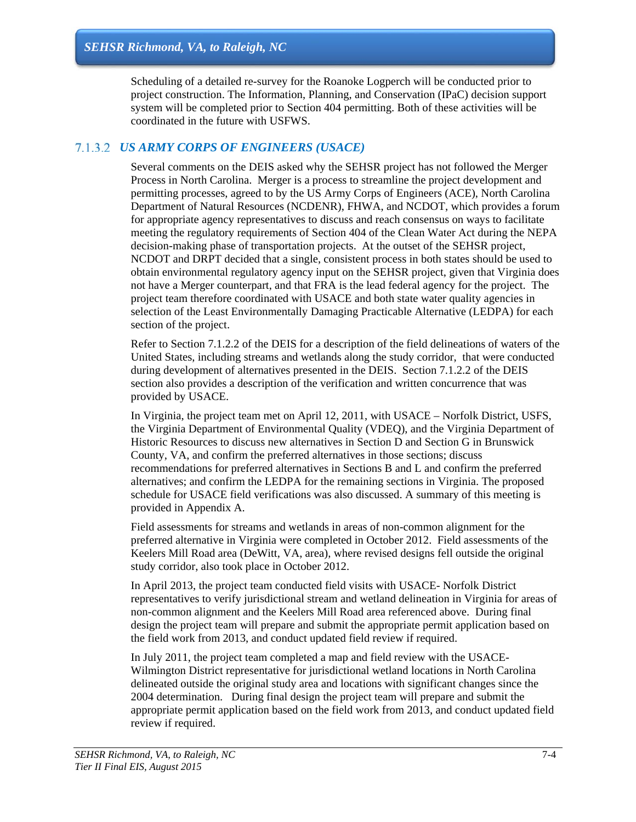Scheduling of a detailed re-survey for the Roanoke Logperch will be conducted prior to project construction. The Information, Planning, and Conservation (IPaC) decision support system will be completed prior to Section 404 permitting. Both of these activities will be coordinated in the future with USFWS.

### *US ARMY CORPS OF ENGINEERS (USACE)*

Several comments on the DEIS asked why the SEHSR project has not followed the Merger Process in North Carolina. Merger is a process to streamline the project development and permitting processes, agreed to by the US Army Corps of Engineers (ACE), North Carolina Department of Natural Resources (NCDENR), FHWA, and NCDOT, which provides a forum for appropriate agency representatives to discuss and reach consensus on ways to facilitate meeting the regulatory requirements of Section 404 of the Clean Water Act during the NEPA decision-making phase of transportation projects. At the outset of the SEHSR project, NCDOT and DRPT decided that a single, consistent process in both states should be used to obtain environmental regulatory agency input on the SEHSR project, given that Virginia does not have a Merger counterpart, and that FRA is the lead federal agency for the project. The project team therefore coordinated with USACE and both state water quality agencies in selection of the Least Environmentally Damaging Practicable Alternative (LEDPA) for each section of the project.

Refer to Section 7.1.2.2 of the DEIS for a description of the field delineations of waters of the United States, including streams and wetlands along the study corridor, that were conducted during development of alternatives presented in the DEIS. Section 7.1.2.2 of the DEIS section also provides a description of the verification and written concurrence that was provided by USACE.

In Virginia, the project team met on April 12, 2011, with USACE – Norfolk District, USFS, the Virginia Department of Environmental Quality (VDEQ), and the Virginia Department of Historic Resources to discuss new alternatives in Section D and Section G in Brunswick County, VA, and confirm the preferred alternatives in those sections; discuss recommendations for preferred alternatives in Sections B and L and confirm the preferred alternatives; and confirm the LEDPA for the remaining sections in Virginia. The proposed schedule for USACE field verifications was also discussed. A summary of this meeting is provided in Appendix A.

Field assessments for streams and wetlands in areas of non-common alignment for the preferred alternative in Virginia were completed in October 2012. Field assessments of the Keelers Mill Road area (DeWitt, VA, area), where revised designs fell outside the original study corridor, also took place in October 2012.

In April 2013, the project team conducted field visits with USACE- Norfolk District representatives to verify jurisdictional stream and wetland delineation in Virginia for areas of non-common alignment and the Keelers Mill Road area referenced above. During final design the project team will prepare and submit the appropriate permit application based on the field work from 2013, and conduct updated field review if required.

In July 2011, the project team completed a map and field review with the USACE-Wilmington District representative for jurisdictional wetland locations in North Carolina delineated outside the original study area and locations with significant changes since the 2004 determination. During final design the project team will prepare and submit the appropriate permit application based on the field work from 2013, and conduct updated field review if required.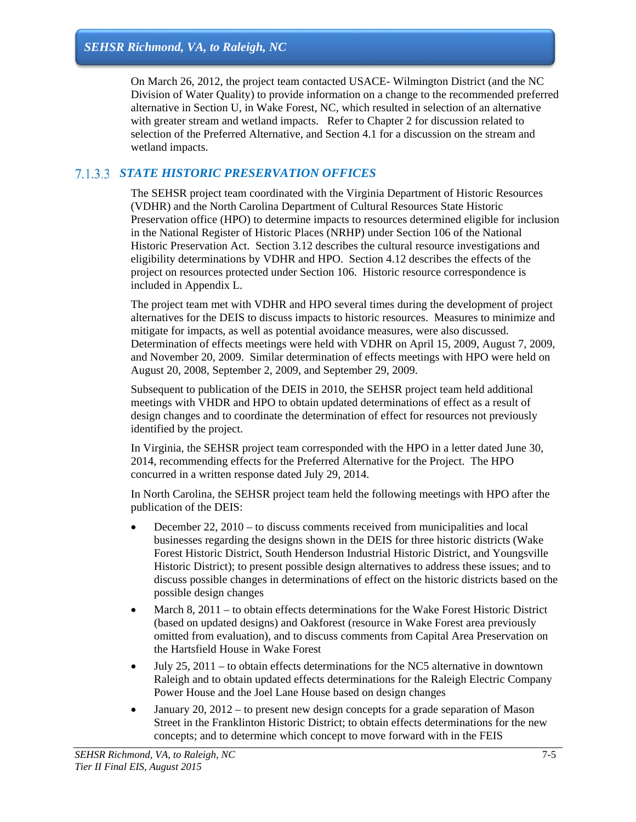On March 26, 2012, the project team contacted USACE- Wilmington District (and the NC Division of Water Quality) to provide information on a change to the recommended preferred alternative in Section U, in Wake Forest, NC, which resulted in selection of an alternative with greater stream and wetland impacts. Refer to Chapter 2 for discussion related to selection of the Preferred Alternative, and Section 4.1 for a discussion on the stream and wetland impacts.

# *STATE HISTORIC PRESERVATION OFFICES*

The SEHSR project team coordinated with the Virginia Department of Historic Resources (VDHR) and the North Carolina Department of Cultural Resources State Historic Preservation office (HPO) to determine impacts to resources determined eligible for inclusion in the National Register of Historic Places (NRHP) under Section 106 of the National Historic Preservation Act. Section 3.12 describes the cultural resource investigations and eligibility determinations by VDHR and HPO. Section 4.12 describes the effects of the project on resources protected under Section 106. Historic resource correspondence is included in Appendix L.

The project team met with VDHR and HPO several times during the development of project alternatives for the DEIS to discuss impacts to historic resources. Measures to minimize and mitigate for impacts, as well as potential avoidance measures, were also discussed. Determination of effects meetings were held with VDHR on April 15, 2009, August 7, 2009, and November 20, 2009. Similar determination of effects meetings with HPO were held on August 20, 2008, September 2, 2009, and September 29, 2009.

Subsequent to publication of the DEIS in 2010, the SEHSR project team held additional meetings with VHDR and HPO to obtain updated determinations of effect as a result of design changes and to coordinate the determination of effect for resources not previously identified by the project.

In Virginia, the SEHSR project team corresponded with the HPO in a letter dated June 30, 2014, recommending effects for the Preferred Alternative for the Project. The HPO concurred in a written response dated July 29, 2014.

In North Carolina, the SEHSR project team held the following meetings with HPO after the publication of the DEIS:

- $\bullet$  December 22, 2010 to discuss comments received from municipalities and local businesses regarding the designs shown in the DEIS for three historic districts (Wake Forest Historic District, South Henderson Industrial Historic District, and Youngsville Historic District); to present possible design alternatives to address these issues; and to discuss possible changes in determinations of effect on the historic districts based on the possible design changes
- March 8, 2011 to obtain effects determinations for the Wake Forest Historic District (based on updated designs) and Oakforest (resource in Wake Forest area previously omitted from evaluation), and to discuss comments from Capital Area Preservation on the Hartsfield House in Wake Forest
- $\bullet$  July 25, 2011 to obtain effects determinations for the NC5 alternative in downtown Raleigh and to obtain updated effects determinations for the Raleigh Electric Company Power House and the Joel Lane House based on design changes
- January 20, 2012 to present new design concepts for a grade separation of Mason Street in the Franklinton Historic District; to obtain effects determinations for the new concepts; and to determine which concept to move forward with in the FEIS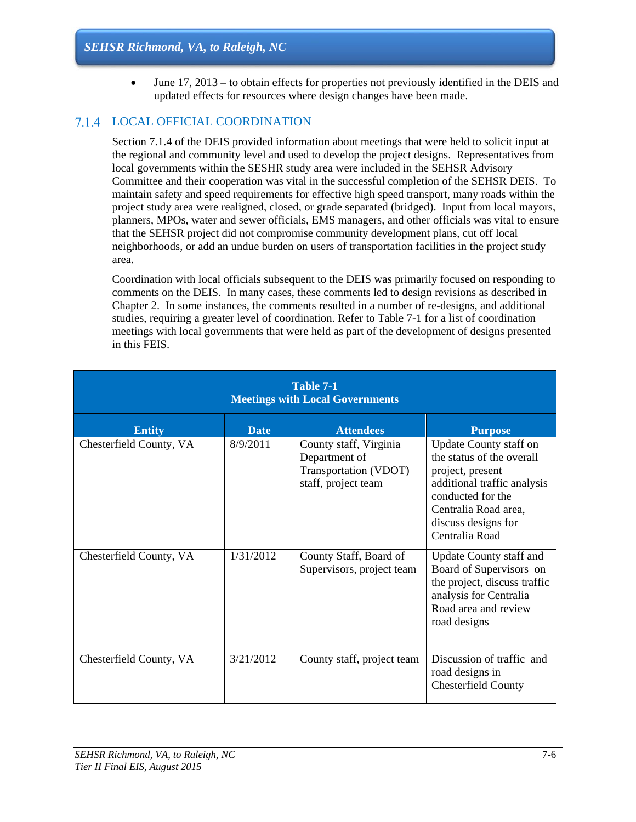June 17, 2013 – to obtain effects for properties not previously identified in the DEIS and updated effects for resources where design changes have been made.

# LOCAL OFFICIAL COORDINATION

Section 7.1.4 of the DEIS provided information about meetings that were held to solicit input at the regional and community level and used to develop the project designs. Representatives from local governments within the SESHR study area were included in the SEHSR Advisory Committee and their cooperation was vital in the successful completion of the SEHSR DEIS. To maintain safety and speed requirements for effective high speed transport, many roads within the project study area were realigned, closed, or grade separated (bridged). Input from local mayors, planners, MPOs, water and sewer officials, EMS managers, and other officials was vital to ensure that the SEHSR project did not compromise community development plans, cut off local neighborhoods, or add an undue burden on users of transportation facilities in the project study area.

Coordination with local officials subsequent to the DEIS was primarily focused on responding to comments on the DEIS. In many cases, these comments led to design revisions as described in Chapter 2. In some instances, the comments resulted in a number of re-designs, and additional studies, requiring a greater level of coordination. Refer to Table 7-1 for a list of coordination meetings with local governments that were held as part of the development of designs presented in this FEIS.

| Table 7-1<br><b>Meetings with Local Governments</b> |             |                                                                                         |                                                                                                                                                                                              |  |
|-----------------------------------------------------|-------------|-----------------------------------------------------------------------------------------|----------------------------------------------------------------------------------------------------------------------------------------------------------------------------------------------|--|
| <b>Entity</b>                                       | <b>Date</b> | <b>Attendees</b>                                                                        | <b>Purpose</b>                                                                                                                                                                               |  |
| Chesterfield County, VA                             | 8/9/2011    | County staff, Virginia<br>Department of<br>Transportation (VDOT)<br>staff, project team | Update County staff on<br>the status of the overall<br>project, present<br>additional traffic analysis<br>conducted for the<br>Centralia Road area,<br>discuss designs for<br>Centralia Road |  |
| Chesterfield County, VA                             | 1/31/2012   | County Staff, Board of<br>Supervisors, project team                                     | Update County staff and<br>Board of Supervisors on<br>the project, discuss traffic<br>analysis for Centralia<br>Road area and review<br>road designs                                         |  |
| Chesterfield County, VA                             | 3/21/2012   | County staff, project team                                                              | Discussion of traffic and<br>road designs in<br><b>Chesterfield County</b>                                                                                                                   |  |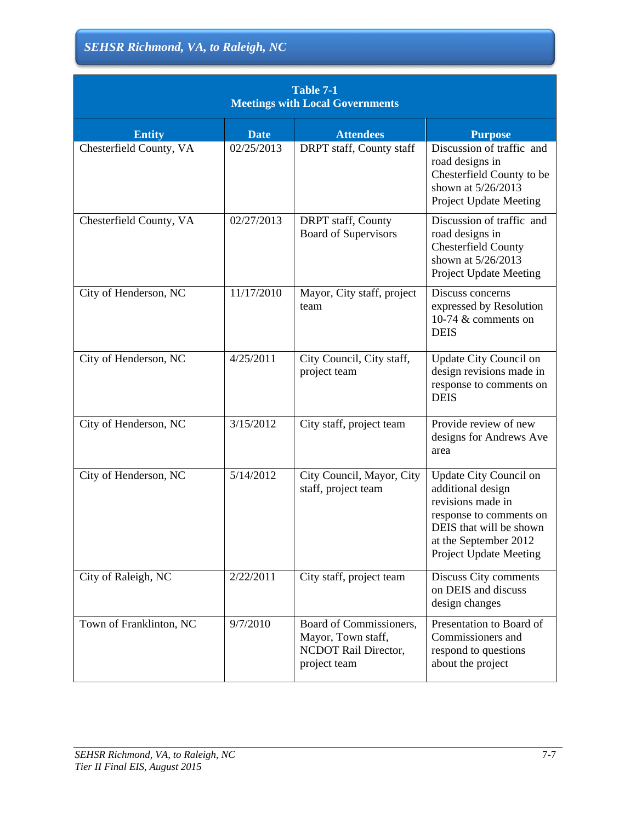| Table 7-1<br><b>Meetings with Local Governments</b> |             |                                                                                       |                                                                                                                                                                                  |  |
|-----------------------------------------------------|-------------|---------------------------------------------------------------------------------------|----------------------------------------------------------------------------------------------------------------------------------------------------------------------------------|--|
| <b>Entity</b>                                       | <b>Date</b> | <b>Attendees</b>                                                                      | <b>Purpose</b>                                                                                                                                                                   |  |
| Chesterfield County, VA                             | 02/25/2013  | DRPT staff, County staff                                                              | Discussion of traffic and<br>road designs in<br>Chesterfield County to be<br>shown at 5/26/2013<br><b>Project Update Meeting</b>                                                 |  |
| Chesterfield County, VA                             | 02/27/2013  | DRPT staff, County<br><b>Board of Supervisors</b>                                     | Discussion of traffic and<br>road designs in<br><b>Chesterfield County</b><br>shown at 5/26/2013<br>Project Update Meeting                                                       |  |
| City of Henderson, NC                               | 11/17/2010  | Mayor, City staff, project<br>team                                                    | Discuss concerns<br>expressed by Resolution<br>10-74 $&$ comments on<br><b>DEIS</b>                                                                                              |  |
| City of Henderson, NC                               | 4/25/2011   | City Council, City staff,<br>project team                                             | Update City Council on<br>design revisions made in<br>response to comments on<br><b>DEIS</b>                                                                                     |  |
| City of Henderson, NC                               | 3/15/2012   | City staff, project team                                                              | Provide review of new<br>designs for Andrews Ave<br>area                                                                                                                         |  |
| City of Henderson, NC                               | 5/14/2012   | City Council, Mayor, City<br>staff, project team                                      | Update City Council on<br>additional design<br>revisions made in<br>response to comments on<br>DEIS that will be shown<br>at the September 2012<br><b>Project Update Meeting</b> |  |
| City of Raleigh, NC                                 | 2/22/2011   | City staff, project team                                                              | Discuss City comments<br>on DEIS and discuss<br>design changes                                                                                                                   |  |
| Town of Franklinton, NC                             | 9/7/2010    | Board of Commissioners,<br>Mayor, Town staff,<br>NCDOT Rail Director,<br>project team | Presentation to Board of<br>Commissioners and<br>respond to questions<br>about the project                                                                                       |  |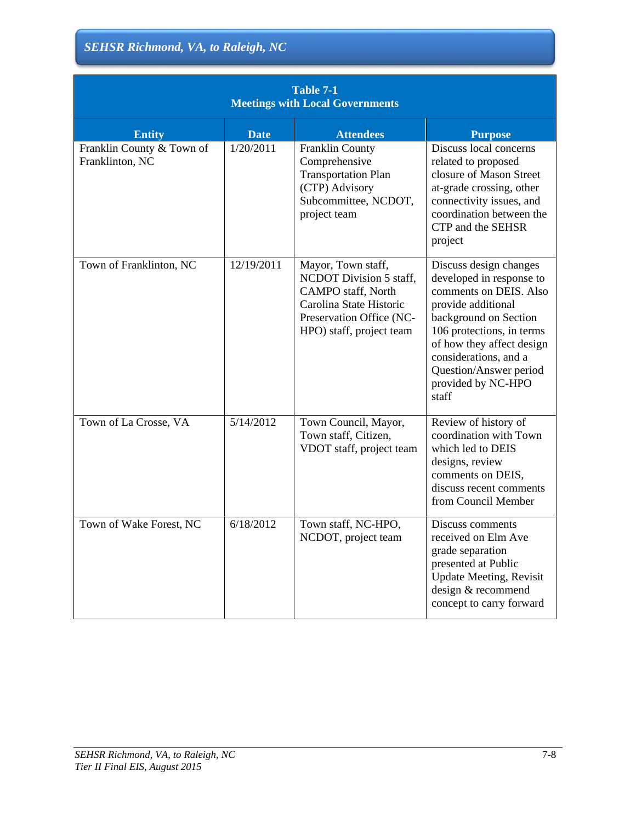| <b>Table 7-1</b><br><b>Meetings with Local Governments</b> |             |                                                                                                                                                        |                                                                                                                                                                                                                                                                         |  |
|------------------------------------------------------------|-------------|--------------------------------------------------------------------------------------------------------------------------------------------------------|-------------------------------------------------------------------------------------------------------------------------------------------------------------------------------------------------------------------------------------------------------------------------|--|
| <b>Entity</b>                                              | <b>Date</b> | <b>Attendees</b>                                                                                                                                       | <b>Purpose</b>                                                                                                                                                                                                                                                          |  |
| Franklin County & Town of<br>Franklinton, NC               | 1/20/2011   | Franklin County<br>Comprehensive<br><b>Transportation Plan</b><br>(CTP) Advisory<br>Subcommittee, NCDOT,<br>project team                               | Discuss local concerns<br>related to proposed<br>closure of Mason Street<br>at-grade crossing, other<br>connectivity issues, and<br>coordination between the<br>CTP and the SEHSR<br>project                                                                            |  |
| Town of Franklinton, NC                                    | 12/19/2011  | Mayor, Town staff,<br>NCDOT Division 5 staff,<br>CAMPO staff, North<br>Carolina State Historic<br>Preservation Office (NC-<br>HPO) staff, project team | Discuss design changes<br>developed in response to<br>comments on DEIS. Also<br>provide additional<br>background on Section<br>106 protections, in terms<br>of how they affect design<br>considerations, and a<br>Question/Answer period<br>provided by NC-HPO<br>staff |  |
| Town of La Crosse, VA                                      | 5/14/2012   | Town Council, Mayor,<br>Town staff, Citizen,<br>VDOT staff, project team                                                                               | Review of history of<br>coordination with Town<br>which led to DEIS<br>designs, review<br>comments on DEIS,<br>discuss recent comments<br>from Council Member                                                                                                           |  |
| Town of Wake Forest, NC                                    | 6/18/2012   | Town staff, NC-HPO,<br>NCDOT, project team                                                                                                             | Discuss comments<br>received on Elm Ave<br>grade separation<br>presented at Public<br><b>Update Meeting, Revisit</b><br>design & recommend<br>concept to carry forward                                                                                                  |  |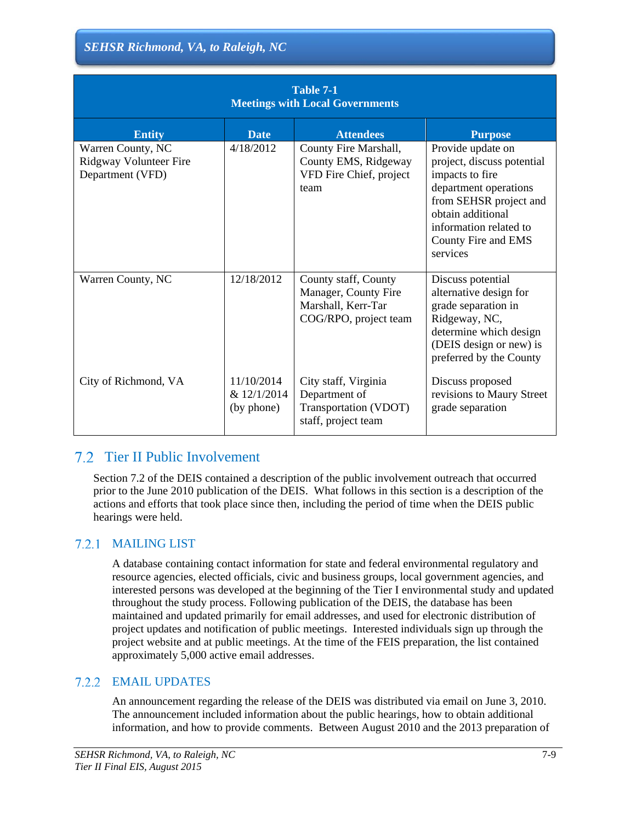| Table 7-1<br><b>Meetings with Local Governments</b>             |                                         |                                                                                             |                                                                                                                                                                                                         |  |
|-----------------------------------------------------------------|-----------------------------------------|---------------------------------------------------------------------------------------------|---------------------------------------------------------------------------------------------------------------------------------------------------------------------------------------------------------|--|
| <b>Entity</b>                                                   | <b>Date</b>                             | <b>Attendees</b>                                                                            | <b>Purpose</b>                                                                                                                                                                                          |  |
| Warren County, NC<br>Ridgway Volunteer Fire<br>Department (VFD) | 4/18/2012                               | County Fire Marshall,<br>County EMS, Ridgeway<br>VFD Fire Chief, project<br>team            | Provide update on<br>project, discuss potential<br>impacts to fire<br>department operations<br>from SEHSR project and<br>obtain additional<br>information related to<br>County Fire and EMS<br>services |  |
| Warren County, NC                                               | 12/18/2012                              | County staff, County<br>Manager, County Fire<br>Marshall, Kerr-Tar<br>COG/RPO, project team | Discuss potential<br>alternative design for<br>grade separation in<br>Ridgeway, NC,<br>determine which design<br>(DEIS design or new) is<br>preferred by the County                                     |  |
| City of Richmond, VA                                            | 11/10/2014<br>& 12/1/2014<br>(by phone) | City staff, Virginia<br>Department of<br>Transportation (VDOT)<br>staff, project team       | Discuss proposed<br>revisions to Maury Street<br>grade separation                                                                                                                                       |  |

# Tier II Public Involvement

Section 7.2 of the DEIS contained a description of the public involvement outreach that occurred prior to the June 2010 publication of the DEIS. What follows in this section is a description of the actions and efforts that took place since then, including the period of time when the DEIS public hearings were held.

# MAILING LIST

A database containing contact information for state and federal environmental regulatory and resource agencies, elected officials, civic and business groups, local government agencies, and interested persons was developed at the beginning of the Tier I environmental study and updated throughout the study process. Following publication of the DEIS, the database has been maintained and updated primarily for email addresses, and used for electronic distribution of project updates and notification of public meetings. Interested individuals sign up through the project website and at public meetings. At the time of the FEIS preparation, the list contained approximately 5,000 active email addresses.

# EMAIL UPDATES

An announcement regarding the release of the DEIS was distributed via email on June 3, 2010. The announcement included information about the public hearings, how to obtain additional information, and how to provide comments. Between August 2010 and the 2013 preparation of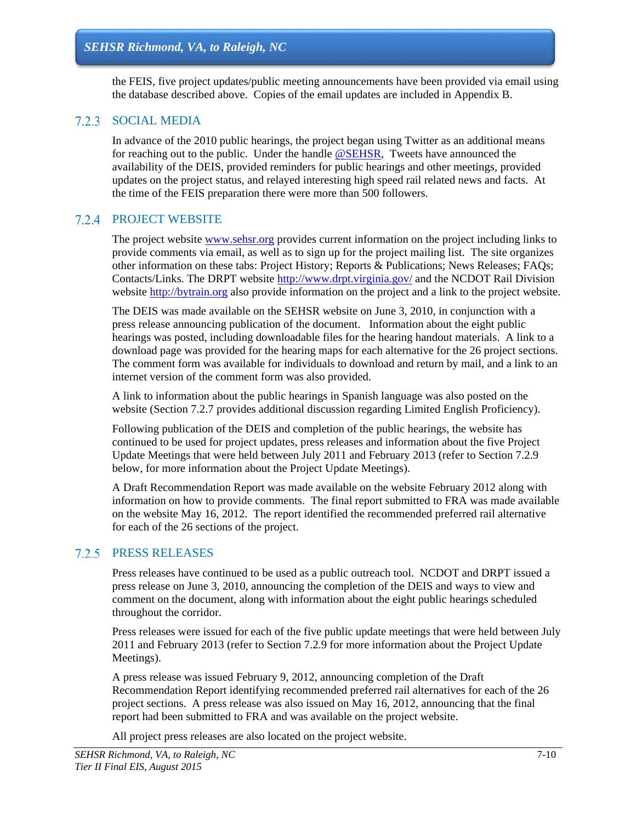the FEIS, five project updates/public meeting announcements have been provided via email using the database described above. Copies of the email updates are included in Appendix B.

#### 7.2.3 SOCIAL MEDIA

In advance of the 2010 public hearings, the project began using Twitter as an additional means for reaching out to the public. Under the handle @SEHSR, Tweets have announced the availability of the DEIS, provided reminders for public hearings and other meetings, provided updates on the project status, and relayed interesting high speed rail related news and facts. At the time of the FEIS preparation there were more than 500 followers.

#### **7.2.4 PROJECT WEBSITE**

The project website www.sehsr.org provides current information on the project including links to provide comments via email, as well as to sign up for the project mailing list. The site organizes other information on these tabs: Project History; Reports & Publications; News Releases; FAQs; Contacts/Links. The DRPT website http://www.drpt.virginia.gov/ and the NCDOT Rail Division website http://bytrain.org also provide information on the project and a link to the project website.

The DEIS was made available on the SEHSR website on June 3, 2010, in conjunction with a press release announcing publication of the document. Information about the eight public hearings was posted, including downloadable files for the hearing handout materials. A link to a download page was provided for the hearing maps for each alternative for the 26 project sections. The comment form was available for individuals to download and return by mail, and a link to an internet version of the comment form was also provided.

A link to information about the public hearings in Spanish language was also posted on the website (Section 7.2.7 provides additional discussion regarding Limited English Proficiency).

Following publication of the DEIS and completion of the public hearings, the website has continued to be used for project updates, press releases and information about the five Project Update Meetings that were held between July 2011 and February 2013 (refer to Section 7.2.9 below, for more information about the Project Update Meetings).

A Draft Recommendation Report was made available on the website February 2012 along with information on how to provide comments. The final report submitted to FRA was made available on the website May 16, 2012. The report identified the recommended preferred rail alternative for each of the 26 sections of the project.

#### 7.2.5 PRESS RELEASES

Press releases have continued to be used as a public outreach tool. NCDOT and DRPT issued a press release on June 3, 2010, announcing the completion of the DEIS and ways to view and comment on the document, along with information about the eight public hearings scheduled throughout the corridor.

Press releases were issued for each of the five public update meetings that were held between July 2011 and February 2013 (refer to Section 7.2.9 for more information about the Project Update Meetings).

A press release was issued February 9, 2012, announcing completion of the Draft Recommendation Report identifying recommended preferred rail alternatives for each of the 26 project sections. A press release was also issued on May 16, 2012, announcing that the final report had been submitted to FRA and was available on the project website.

All project press releases are also located on the project website.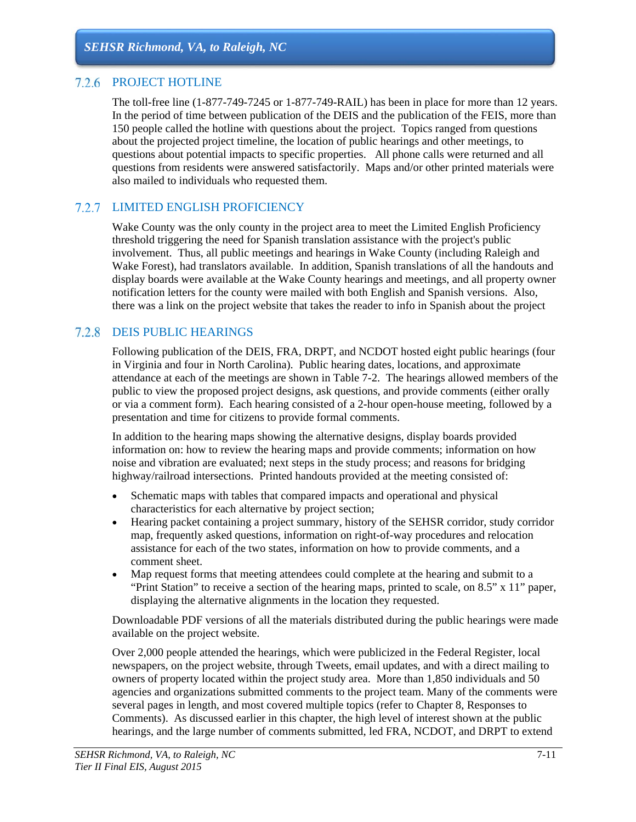### 7.2.6 PROJECT HOTLINE

The toll-free line (1-877-749-7245 or 1-877-749-RAIL) has been in place for more than 12 years. In the period of time between publication of the DEIS and the publication of the FEIS, more than 150 people called the hotline with questions about the project. Topics ranged from questions about the projected project timeline, the location of public hearings and other meetings, to questions about potential impacts to specific properties. All phone calls were returned and all questions from residents were answered satisfactorily. Maps and/or other printed materials were also mailed to individuals who requested them.

### LIMITED ENGLISH PROFICIENCY

Wake County was the only county in the project area to meet the Limited English Proficiency threshold triggering the need for Spanish translation assistance with the project's public involvement. Thus, all public meetings and hearings in Wake County (including Raleigh and Wake Forest), had translators available. In addition, Spanish translations of all the handouts and display boards were available at the Wake County hearings and meetings, and all property owner notification letters for the county were mailed with both English and Spanish versions. Also, there was a link on the project website that takes the reader to info in Spanish about the project

### DEIS PUBLIC HEARINGS

Following publication of the DEIS, FRA, DRPT, and NCDOT hosted eight public hearings (four in Virginia and four in North Carolina). Public hearing dates, locations, and approximate attendance at each of the meetings are shown in Table 7-2. The hearings allowed members of the public to view the proposed project designs, ask questions, and provide comments (either orally or via a comment form). Each hearing consisted of a 2-hour open-house meeting, followed by a presentation and time for citizens to provide formal comments.

In addition to the hearing maps showing the alternative designs, display boards provided information on: how to review the hearing maps and provide comments; information on how noise and vibration are evaluated; next steps in the study process; and reasons for bridging highway/railroad intersections. Printed handouts provided at the meeting consisted of:

- Schematic maps with tables that compared impacts and operational and physical characteristics for each alternative by project section;
- Hearing packet containing a project summary, history of the SEHSR corridor, study corridor map, frequently asked questions, information on right-of-way procedures and relocation assistance for each of the two states, information on how to provide comments, and a comment sheet.
- Map request forms that meeting attendees could complete at the hearing and submit to a "Print Station" to receive a section of the hearing maps, printed to scale, on 8.5" x 11" paper, displaying the alternative alignments in the location they requested.

Downloadable PDF versions of all the materials distributed during the public hearings were made available on the project website.

Over 2,000 people attended the hearings, which were publicized in the Federal Register, local newspapers, on the project website, through Tweets, email updates, and with a direct mailing to owners of property located within the project study area. More than 1,850 individuals and 50 agencies and organizations submitted comments to the project team. Many of the comments were several pages in length, and most covered multiple topics (refer to Chapter 8, Responses to Comments). As discussed earlier in this chapter, the high level of interest shown at the public hearings, and the large number of comments submitted, led FRA, NCDOT, and DRPT to extend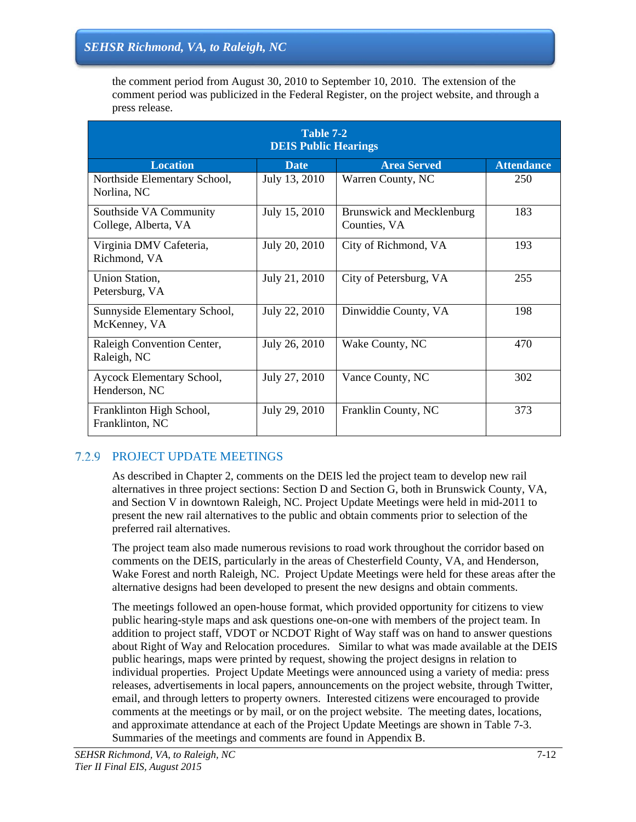the comment period from August 30, 2010 to September 10, 2010. The extension of the comment period was publicized in the Federal Register, on the project website, and through a press release.

| Table 7-2<br><b>DEIS Public Hearings</b>       |               |                                                  |                   |  |
|------------------------------------------------|---------------|--------------------------------------------------|-------------------|--|
| <b>Location</b>                                | <b>Date</b>   | <b>Area Served</b>                               | <b>Attendance</b> |  |
| Northside Elementary School,<br>Norlina, NC    | July 13, 2010 | Warren County, NC                                | 250               |  |
| Southside VA Community<br>College, Alberta, VA | July 15, 2010 | <b>Brunswick and Mecklenburg</b><br>Counties, VA | 183               |  |
| Virginia DMV Cafeteria,<br>Richmond, VA        | July 20, 2010 | City of Richmond, VA                             | 193               |  |
| Union Station,<br>Petersburg, VA               | July 21, 2010 | City of Petersburg, VA                           | 255               |  |
| Sunnyside Elementary School,<br>McKenney, VA   | July 22, 2010 | Dinwiddie County, VA                             | 198               |  |
| Raleigh Convention Center,<br>Raleigh, NC      | July 26, 2010 | Wake County, NC                                  | 470               |  |
| Aycock Elementary School,<br>Henderson, NC     | July 27, 2010 | Vance County, NC                                 | 302               |  |
| Franklinton High School,<br>Franklinton, NC    | July 29, 2010 | Franklin County, NC                              | 373               |  |

# 7.2.9 PROJECT UPDATE MEETINGS

As described in Chapter 2, comments on the DEIS led the project team to develop new rail alternatives in three project sections: Section D and Section G, both in Brunswick County, VA, and Section V in downtown Raleigh, NC. Project Update Meetings were held in mid-2011 to present the new rail alternatives to the public and obtain comments prior to selection of the preferred rail alternatives.

The project team also made numerous revisions to road work throughout the corridor based on comments on the DEIS, particularly in the areas of Chesterfield County, VA, and Henderson, Wake Forest and north Raleigh, NC. Project Update Meetings were held for these areas after the alternative designs had been developed to present the new designs and obtain comments.

The meetings followed an open-house format, which provided opportunity for citizens to view public hearing-style maps and ask questions one-on-one with members of the project team. In addition to project staff, VDOT or NCDOT Right of Way staff was on hand to answer questions about Right of Way and Relocation procedures. Similar to what was made available at the DEIS public hearings, maps were printed by request, showing the project designs in relation to individual properties. Project Update Meetings were announced using a variety of media: press releases, advertisements in local papers, announcements on the project website, through Twitter, email, and through letters to property owners. Interested citizens were encouraged to provide comments at the meetings or by mail, or on the project website. The meeting dates, locations, and approximate attendance at each of the Project Update Meetings are shown in Table 7-3. Summaries of the meetings and comments are found in Appendix B.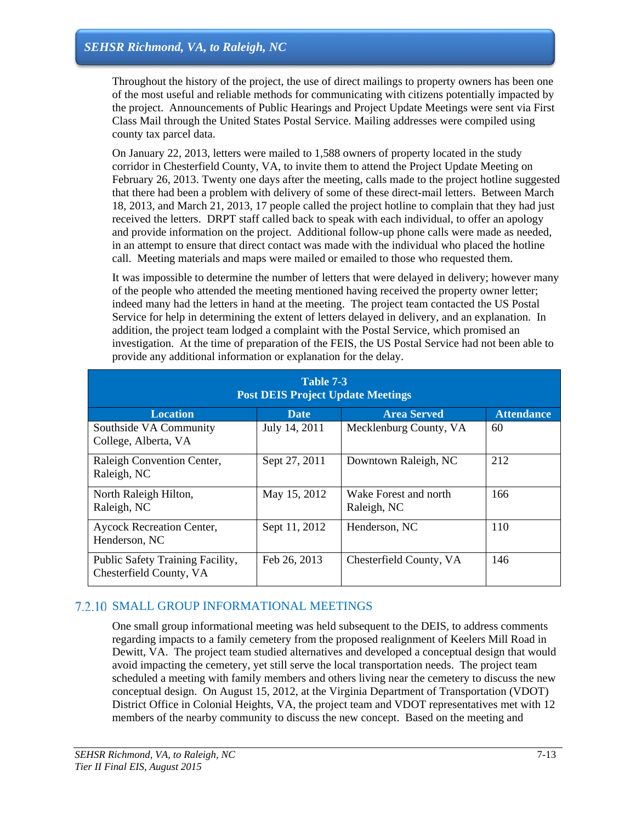Throughout the history of the project, the use of direct mailings to property owners has been one of the most useful and reliable methods for communicating with citizens potentially impacted by the project. Announcements of Public Hearings and Project Update Meetings were sent via First Class Mail through the United States Postal Service. Mailing addresses were compiled using county tax parcel data.

On January 22, 2013, letters were mailed to 1,588 owners of property located in the study corridor in Chesterfield County, VA, to invite them to attend the Project Update Meeting on February 26, 2013. Twenty one days after the meeting, calls made to the project hotline suggested that there had been a problem with delivery of some of these direct-mail letters. Between March 18, 2013, and March 21, 2013, 17 people called the project hotline to complain that they had just received the letters. DRPT staff called back to speak with each individual, to offer an apology and provide information on the project. Additional follow-up phone calls were made as needed, in an attempt to ensure that direct contact was made with the individual who placed the hotline call. Meeting materials and maps were mailed or emailed to those who requested them.

It was impossible to determine the number of letters that were delayed in delivery; however many of the people who attended the meeting mentioned having received the property owner letter; indeed many had the letters in hand at the meeting. The project team contacted the US Postal Service for help in determining the extent of letters delayed in delivery, and an explanation. In addition, the project team lodged a complaint with the Postal Service, which promised an investigation. At the time of preparation of the FEIS, the US Postal Service had not been able to provide any additional information or explanation for the delay.

| Table 7-3<br><b>Post DEIS Project Update Meetings</b>       |               |                                      |                   |  |
|-------------------------------------------------------------|---------------|--------------------------------------|-------------------|--|
| <b>Location</b>                                             | Date.         | <b>Area Served</b>                   | <b>Attendance</b> |  |
| Southside VA Community<br>College, Alberta, VA              | July 14, 2011 | Mecklenburg County, VA               | 60                |  |
| Raleigh Convention Center,<br>Raleigh, NC                   | Sept 27, 2011 | Downtown Raleigh, NC                 | 212               |  |
| North Raleigh Hilton,<br>Raleigh, NC                        | May 15, 2012  | Wake Forest and north<br>Raleigh, NC | 166               |  |
| <b>Aycock Recreation Center,</b><br>Henderson, NC           | Sept 11, 2012 | Henderson, NC                        | 110               |  |
| Public Safety Training Facility,<br>Chesterfield County, VA | Feb 26, 2013  | Chesterfield County, VA              | 146               |  |

# 7.2.10 SMALL GROUP INFORMATIONAL MEETINGS

One small group informational meeting was held subsequent to the DEIS, to address comments regarding impacts to a family cemetery from the proposed realignment of Keelers Mill Road in Dewitt, VA. The project team studied alternatives and developed a conceptual design that would avoid impacting the cemetery, yet still serve the local transportation needs. The project team scheduled a meeting with family members and others living near the cemetery to discuss the new conceptual design. On August 15, 2012, at the Virginia Department of Transportation (VDOT) District Office in Colonial Heights, VA, the project team and VDOT representatives met with 12 members of the nearby community to discuss the new concept. Based on the meeting and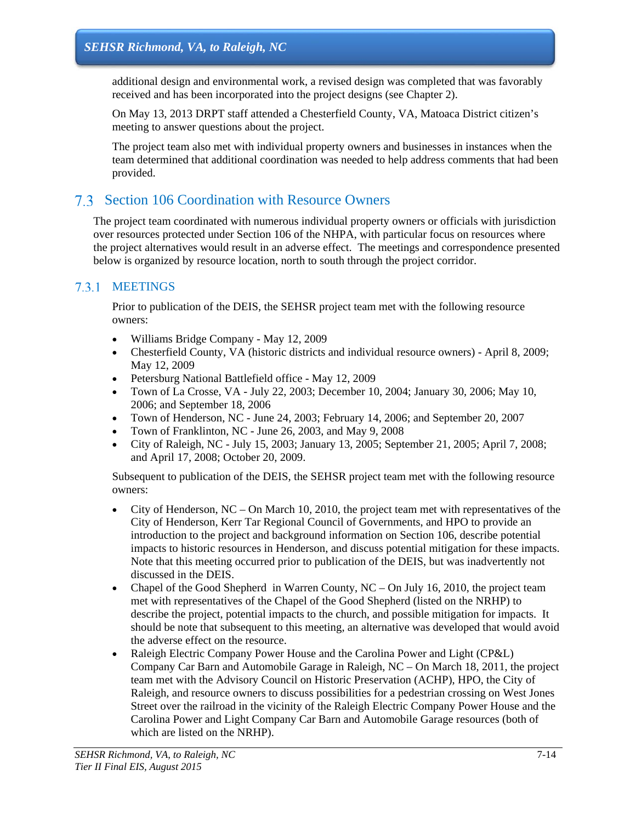additional design and environmental work, a revised design was completed that was favorably received and has been incorporated into the project designs (see Chapter 2).

On May 13, 2013 DRPT staff attended a Chesterfield County, VA, Matoaca District citizen's meeting to answer questions about the project.

The project team also met with individual property owners and businesses in instances when the team determined that additional coordination was needed to help address comments that had been provided.

# Section 106 Coordination with Resource Owners

The project team coordinated with numerous individual property owners or officials with jurisdiction over resources protected under Section 106 of the NHPA, with particular focus on resources where the project alternatives would result in an adverse effect. The meetings and correspondence presented below is organized by resource location, north to south through the project corridor.

### 7.3.1 MEETINGS

Prior to publication of the DEIS, the SEHSR project team met with the following resource owners:

- Williams Bridge Company May 12, 2009
- Chesterfield County, VA (historic districts and individual resource owners) April 8, 2009; May 12, 2009
- Petersburg National Battlefield office May 12, 2009
- Town of La Crosse, VA July 22, 2003; December 10, 2004; January 30, 2006; May 10, 2006; and September 18, 2006
- Town of Henderson, NC June 24, 2003; February 14, 2006; and September 20, 2007
- Town of Franklinton, NC June 26, 2003, and May 9, 2008
- City of Raleigh, NC July 15, 2003; January 13, 2005; September 21, 2005; April 7, 2008; and April 17, 2008; October 20, 2009.

Subsequent to publication of the DEIS, the SEHSR project team met with the following resource owners:

- City of Henderson,  $NC On$  March 10, 2010, the project team met with representatives of the City of Henderson, Kerr Tar Regional Council of Governments, and HPO to provide an introduction to the project and background information on Section 106, describe potential impacts to historic resources in Henderson, and discuss potential mitigation for these impacts. Note that this meeting occurred prior to publication of the DEIS, but was inadvertently not discussed in the DEIS.
- Chapel of the Good Shepherd in Warren County,  $NC On$  July 16, 2010, the project team met with representatives of the Chapel of the Good Shepherd (listed on the NRHP) to describe the project, potential impacts to the church, and possible mitigation for impacts. It should be note that subsequent to this meeting, an alternative was developed that would avoid the adverse effect on the resource.
- Raleigh Electric Company Power House and the Carolina Power and Light (CP&L) Company Car Barn and Automobile Garage in Raleigh, NC – On March 18, 2011, the project team met with the Advisory Council on Historic Preservation (ACHP), HPO, the City of Raleigh, and resource owners to discuss possibilities for a pedestrian crossing on West Jones Street over the railroad in the vicinity of the Raleigh Electric Company Power House and the Carolina Power and Light Company Car Barn and Automobile Garage resources (both of which are listed on the NRHP).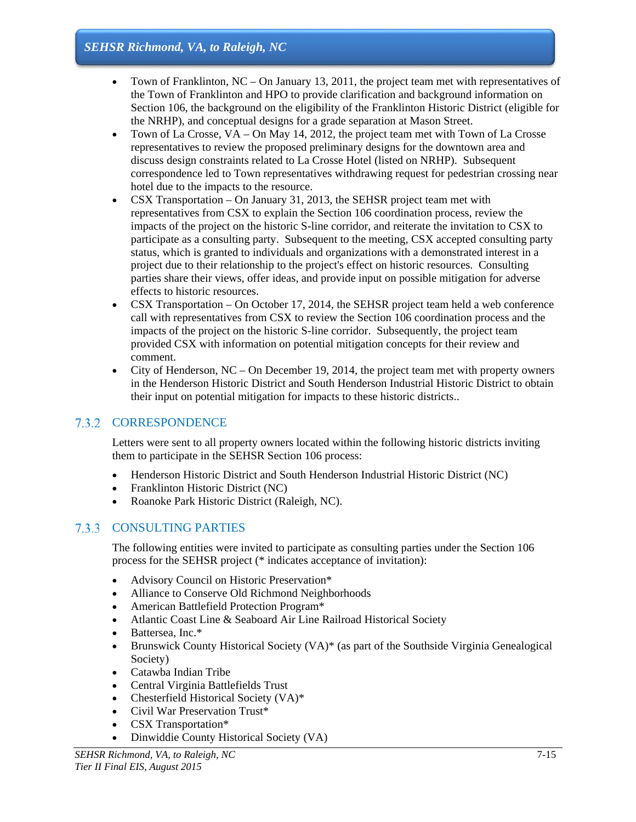- Town of Franklinton,  $NC On$  January 13, 2011, the project team met with representatives of the Town of Franklinton and HPO to provide clarification and background information on Section 106, the background on the eligibility of the Franklinton Historic District (eligible for the NRHP), and conceptual designs for a grade separation at Mason Street.
- Town of La Crosse, VA On May 14, 2012, the project team met with Town of La Crosse representatives to review the proposed preliminary designs for the downtown area and discuss design constraints related to La Crosse Hotel (listed on NRHP). Subsequent correspondence led to Town representatives withdrawing request for pedestrian crossing near hotel due to the impacts to the resource.
- CSX Transportation On January 31, 2013, the SEHSR project team met with representatives from CSX to explain the Section 106 coordination process, review the impacts of the project on the historic S-line corridor, and reiterate the invitation to CSX to participate as a consulting party. Subsequent to the meeting, CSX accepted consulting party status, which is granted to individuals and organizations with a demonstrated interest in a project due to their relationship to the project's effect on historic resources. Consulting parties share their views, offer ideas, and provide input on possible mitigation for adverse effects to historic resources.
- CSX Transportation On October 17, 2014, the SEHSR project team held a web conference call with representatives from CSX to review the Section 106 coordination process and the impacts of the project on the historic S-line corridor. Subsequently, the project team provided CSX with information on potential mitigation concepts for their review and comment.
- City of Henderson,  $NC On$  December 19, 2014, the project team met with property owners in the Henderson Historic District and South Henderson Industrial Historic District to obtain their input on potential mitigation for impacts to these historic districts..

# 7.3.2 CORRESPONDENCE

Letters were sent to all property owners located within the following historic districts inviting them to participate in the SEHSR Section 106 process:

- Henderson Historic District and South Henderson Industrial Historic District (NC)
- Franklinton Historic District (NC)
- Roanoke Park Historic District (Raleigh, NC).

### 7.3.3 CONSULTING PARTIES

The following entities were invited to participate as consulting parties under the Section 106 process for the SEHSR project (\* indicates acceptance of invitation):

- Advisory Council on Historic Preservation\*
- Alliance to Conserve Old Richmond Neighborhoods
- American Battlefield Protection Program\*
- Atlantic Coast Line & Seaboard Air Line Railroad Historical Society
- Battersea, Inc.\*
- Brunswick County Historical Society (VA)\* (as part of the Southside Virginia Genealogical Society)
- Catawba Indian Tribe
- Central Virginia Battlefields Trust
- Chesterfield Historical Society (VA)\*
- Civil War Preservation Trust\*
- CSX Transportation\*
- Dinwiddie County Historical Society (VA)